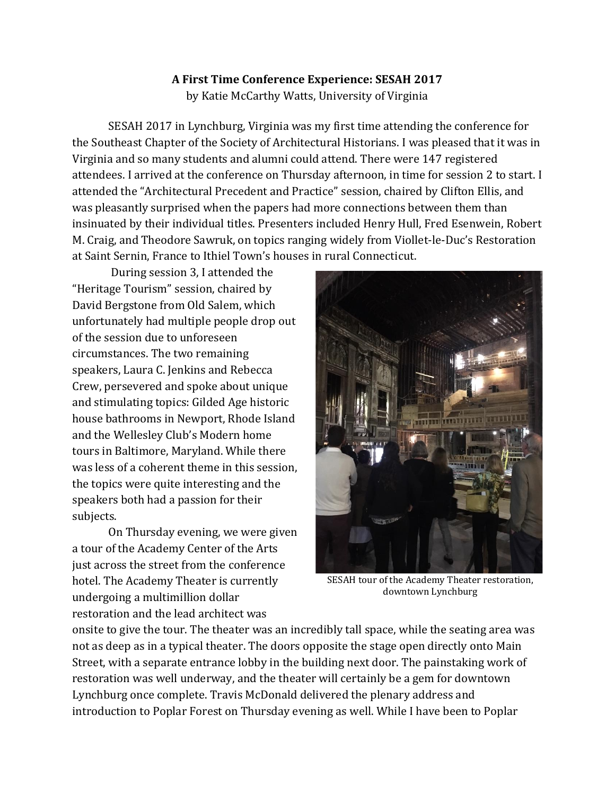## **A First Time Conference Experience: SESAH 2017** by Katie McCarthy Watts, University of Virginia

SESAH 2017 in Lynchburg, Virginia was my first time attending the conference for the Southeast Chapter of the Society of Architectural Historians. I was pleased that it was in Virginia and so many students and alumni could attend. There were 147 registered attendees. I arrived at the conference on Thursday afternoon, in time for session 2 to start. I attended the "Architectural Precedent and Practice" session, chaired by Clifton Ellis, and was pleasantly surprised when the papers had more connections between them than insinuated by their individual titles. Presenters included Henry Hull, Fred Esenwein, Robert M. Craig, and Theodore Sawruk, on topics ranging widely from Viollet-le-Duc's Restoration at Saint Sernin, France to Ithiel Town's houses in rural Connecticut.

During session 3, I attended the "Heritage Tourism" session, chaired by David Bergstone from Old Salem, which unfortunately had multiple people drop out of the session due to unforeseen circumstances. The two remaining speakers, Laura C. Jenkins and Rebecca Crew, persevered and spoke about unique and stimulating topics: Gilded Age historic house bathrooms in Newport, Rhode Island and the Wellesley Club's Modern home tours in Baltimore, Maryland. While there was less of a coherent theme in this session, the topics were quite interesting and the speakers both had a passion for their subjects.

On Thursday evening, we were given a tour of the Academy Center of the Arts just across the street from the conference hotel. The Academy Theater is currently undergoing a multimillion dollar restoration and the lead architect was



SESAH tour of the Academy Theater restoration, downtown Lynchburg

onsite to give the tour. The theater was an incredibly tall space, while the seating area was not as deep as in a typical theater. The doors opposite the stage open directly onto Main Street, with a separate entrance lobby in the building next door. The painstaking work of restoration was well underway, and the theater will certainly be a gem for downtown Lynchburg once complete. Travis McDonald delivered the plenary address and introduction to Poplar Forest on Thursday evening as well. While I have been to Poplar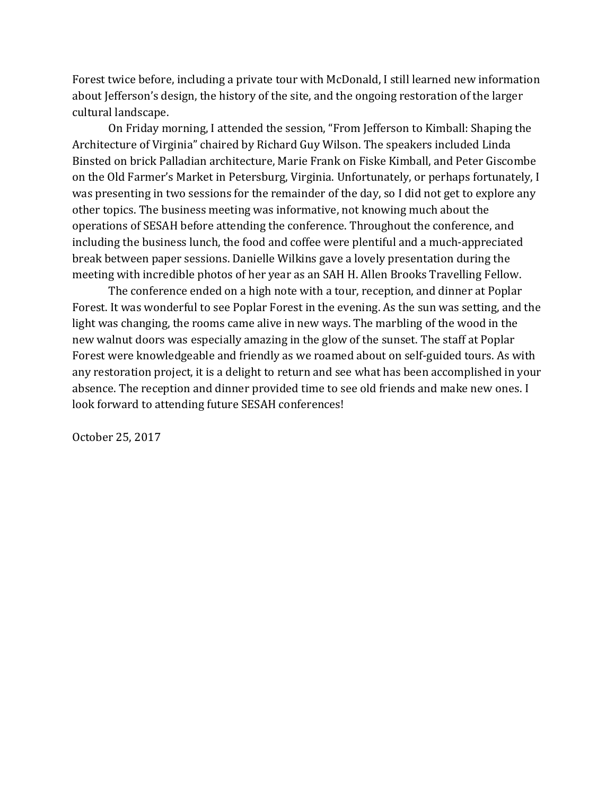Forest twice before, including a private tour with McDonald, I still learned new information about Jefferson's design, the history of the site, and the ongoing restoration of the larger cultural landscape.

On Friday morning, I attended the session, "From Jefferson to Kimball: Shaping the Architecture of Virginia" chaired by Richard Guy Wilson. The speakers included Linda Binsted on brick Palladian architecture, Marie Frank on Fiske Kimball, and Peter Giscombe on the Old Farmer's Market in Petersburg, Virginia. Unfortunately, or perhaps fortunately, I was presenting in two sessions for the remainder of the day, so I did not get to explore any other topics. The business meeting was informative, not knowing much about the operations of SESAH before attending the conference. Throughout the conference, and including the business lunch, the food and coffee were plentiful and a much-appreciated break between paper sessions. Danielle Wilkins gave a lovely presentation during the meeting with incredible photos of her year as an SAH H. Allen Brooks Travelling Fellow.

The conference ended on a high note with a tour, reception, and dinner at Poplar Forest. It was wonderful to see Poplar Forest in the evening. As the sun was setting, and the light was changing, the rooms came alive in new ways. The marbling of the wood in the new walnut doors was especially amazing in the glow of the sunset. The staff at Poplar Forest were knowledgeable and friendly as we roamed about on self-guided tours. As with any restoration project, it is a delight to return and see what has been accomplished in your absence. The reception and dinner provided time to see old friends and make new ones. I look forward to attending future SESAH conferences!

October 25, 2017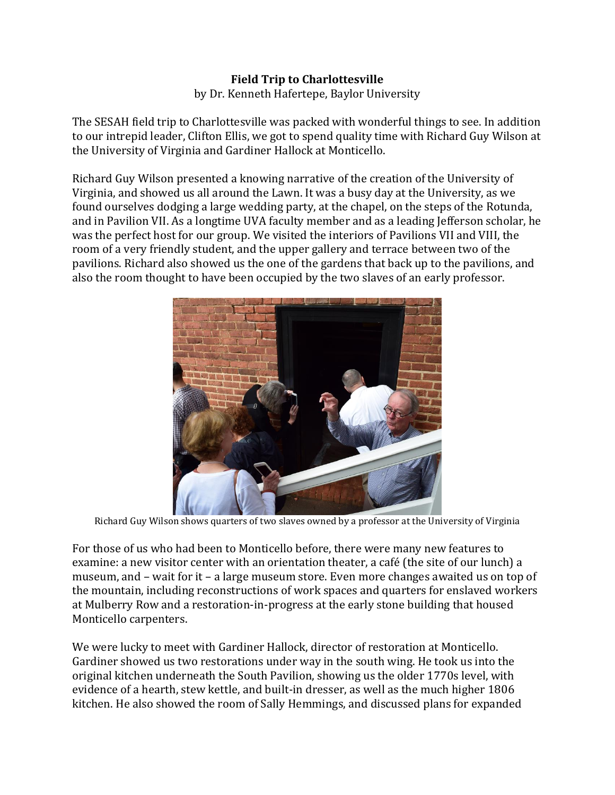## **Field Trip to Charlottesville** by Dr. Kenneth Hafertepe, Baylor University

The SESAH field trip to Charlottesville was packed with wonderful things to see. In addition to our intrepid leader, Clifton Ellis, we got to spend quality time with Richard Guy Wilson at the University of Virginia and Gardiner Hallock at Monticello.

Richard Guy Wilson presented a knowing narrative of the creation of the University of Virginia, and showed us all around the Lawn. It was a busy day at the University, as we found ourselves dodging a large wedding party, at the chapel, on the steps of the Rotunda, and in Pavilion VII. As a longtime UVA faculty member and as a leading Jefferson scholar, he was the perfect host for our group. We visited the interiors of Pavilions VII and VIII, the room of a very friendly student, and the upper gallery and terrace between two of the pavilions. Richard also showed us the one of the gardens that back up to the pavilions, and also the room thought to have been occupied by the two slaves of an early professor.



Richard Guy Wilson shows quarters of two slaves owned by a professor at the University of Virginia

For those of us who had been to Monticello before, there were many new features to examine: a new visitor center with an orientation theater, a café (the site of our lunch) a museum, and – wait for it – a large museum store. Even more changes awaited us on top of the mountain, including reconstructions of work spaces and quarters for enslaved workers at Mulberry Row and a restoration-in-progress at the early stone building that housed Monticello carpenters.

We were lucky to meet with Gardiner Hallock, director of restoration at Monticello. Gardiner showed us two restorations under way in the south wing. He took us into the original kitchen underneath the South Pavilion, showing us the older 1770s level, with evidence of a hearth, stew kettle, and built-in dresser, as well as the much higher 1806 kitchen. He also showed the room of Sally Hemmings, and discussed plans for expanded